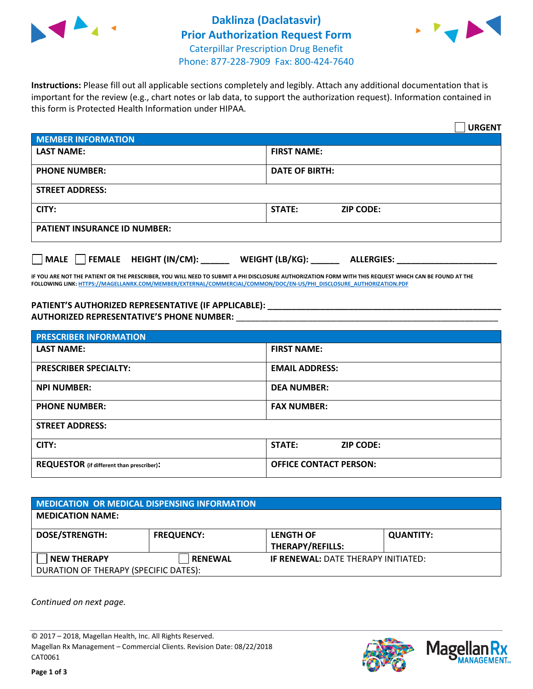



**Instructions:** Please fill out all applicable sections completely and legibly. Attach any additional documentation that is important for the review (e.g., chart notes or lab data, to support the authorization request). Information contained in this form is Protected Health Information under HIPAA.

|                                       | <b>URGENT</b>                          |  |  |  |
|---------------------------------------|----------------------------------------|--|--|--|
| <b>MEMBER INFORMATION</b>             |                                        |  |  |  |
| <b>LAST NAME:</b>                     | <b>FIRST NAME:</b>                     |  |  |  |
| <b>PHONE NUMBER:</b>                  | <b>DATE OF BIRTH:</b>                  |  |  |  |
| <b>STREET ADDRESS:</b>                |                                        |  |  |  |
| CITY:                                 | <b>ZIP CODE:</b><br>STATE:             |  |  |  |
| <b>PATIENT INSURANCE ID NUMBER:</b>   |                                        |  |  |  |
| FEMALE HEIGHT (IN/CM):<br><b>MALE</b> | WEIGHT (LB/KG): _<br><b>ALLERGIES:</b> |  |  |  |

**IF YOU ARE NOT THE PATIENT OR THE PRESCRIBER, YOU WILL NEED TO SUBMIT A PHI DISCLOSURE AUTHORIZATION FORM WITH THIS REQUEST WHICH CAN BE FOUND AT THE FOLLOWING LINK[: HTTPS://MAGELLANRX.COM/MEMBER/EXTERNAL/COMMERCIAL/COMMON/DOC/EN-US/PHI\\_DISCLOSURE\\_AUTHORIZATION.PDF](https://magellanrx.com/member/external/commercial/common/doc/en-us/PHI_Disclosure_Authorization.pdf)**

**PATIENT'S AUTHORIZED REPRESENTATIVE (IF APPLICABLE): \_\_\_\_\_\_\_\_\_\_\_\_\_\_\_\_\_\_\_\_\_\_\_\_\_\_\_\_\_\_\_\_\_\_\_\_\_\_\_\_\_\_\_\_\_\_\_\_\_ AUTHORIZED REPRESENTATIVE'S PHONE NUMBER:** \_\_\_\_\_\_\_\_\_\_\_\_\_\_\_\_\_\_\_\_\_\_\_\_\_\_\_\_\_\_\_\_\_\_\_\_\_\_\_\_\_\_\_\_\_\_\_\_\_\_\_\_\_\_\_

| <b>PRESCRIBER INFORMATION</b>             |                               |  |  |  |
|-------------------------------------------|-------------------------------|--|--|--|
| <b>LAST NAME:</b>                         | <b>FIRST NAME:</b>            |  |  |  |
| <b>PRESCRIBER SPECIALTY:</b>              | <b>EMAIL ADDRESS:</b>         |  |  |  |
| <b>NPI NUMBER:</b>                        | <b>DEA NUMBER:</b>            |  |  |  |
| <b>PHONE NUMBER:</b>                      | <b>FAX NUMBER:</b>            |  |  |  |
| <b>STREET ADDRESS:</b>                    |                               |  |  |  |
| CITY:                                     | STATE:<br><b>ZIP CODE:</b>    |  |  |  |
| REQUESTOR (if different than prescriber): | <b>OFFICE CONTACT PERSON:</b> |  |  |  |

| <b>MEDICATION OR MEDICAL DISPENSING INFORMATION</b> |                   |                                            |                  |  |  |
|-----------------------------------------------------|-------------------|--------------------------------------------|------------------|--|--|
| <b>MEDICATION NAME:</b>                             |                   |                                            |                  |  |  |
| <b>DOSE/STRENGTH:</b>                               | <b>FREQUENCY:</b> | <b>LENGTH OF</b>                           | <b>QUANTITY:</b> |  |  |
|                                                     |                   | <b>THERAPY/REFILLS:</b>                    |                  |  |  |
| <b>NEW THERAPY</b>                                  | <b>RENEWAL</b>    | <b>IF RENEWAL: DATE THERAPY INITIATED:</b> |                  |  |  |
| DURATION OF THERAPY (SPECIFIC DATES):               |                   |                                            |                  |  |  |

*Continued on next page.*

© 2017 – 2018, Magellan Health, Inc. All Rights Reserved. Magellan Rx Management – Commercial Clients. Revision Date: 08/22/2018 CAT0061



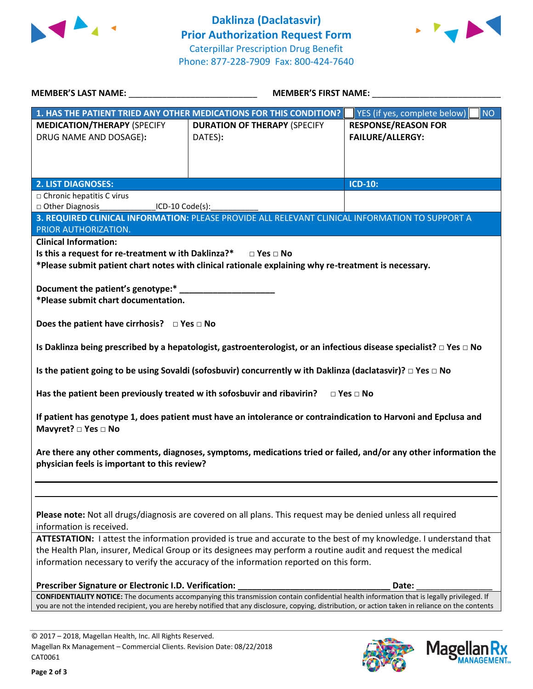



| <b>MEMBER'S LAST NAME:</b> NAME                                                                                                                                                                               | <b>MEMBER'S FIRST NAME:</b>                                                                                                   |                                           |  |  |
|---------------------------------------------------------------------------------------------------------------------------------------------------------------------------------------------------------------|-------------------------------------------------------------------------------------------------------------------------------|-------------------------------------------|--|--|
|                                                                                                                                                                                                               | 1. HAS THE PATIENT TRIED ANY OTHER MEDICATIONS FOR THIS CONDITION?                                                            | YES (if yes, complete below)<br><b>NO</b> |  |  |
| <b>MEDICATION/THERAPY (SPECIFY</b>                                                                                                                                                                            | <b>DURATION OF THERAPY (SPECIFY</b>                                                                                           | <b>RESPONSE/REASON FOR</b>                |  |  |
| DRUG NAME AND DOSAGE):                                                                                                                                                                                        | DATES):                                                                                                                       | FAILURE/ALLERGY:                          |  |  |
|                                                                                                                                                                                                               |                                                                                                                               |                                           |  |  |
|                                                                                                                                                                                                               |                                                                                                                               |                                           |  |  |
|                                                                                                                                                                                                               |                                                                                                                               |                                           |  |  |
| <b>2. LIST DIAGNOSES:</b>                                                                                                                                                                                     |                                                                                                                               | <b>ICD-10:</b>                            |  |  |
| □ Chronic hepatitis C virus<br>□ Other Diagnosis<br><u>ICD-10</u> Code(s):                                                                                                                                    |                                                                                                                               |                                           |  |  |
|                                                                                                                                                                                                               | 3. REQUIRED CLINICAL INFORMATION: PLEASE PROVIDE ALL RELEVANT CLINICAL INFORMATION TO SUPPORT A                               |                                           |  |  |
| PRIOR AUTHORIZATION.                                                                                                                                                                                          |                                                                                                                               |                                           |  |  |
| <b>Clinical Information:</b>                                                                                                                                                                                  |                                                                                                                               |                                           |  |  |
| Is this a request for re-treatment w ith Daklinza?*                                                                                                                                                           | $\Box$ Yes $\Box$ No                                                                                                          |                                           |  |  |
|                                                                                                                                                                                                               | *Please submit patient chart notes with clinical rationale explaining why re-treatment is necessary.                          |                                           |  |  |
|                                                                                                                                                                                                               |                                                                                                                               |                                           |  |  |
| Document the patient's genotype:*                                                                                                                                                                             |                                                                                                                               |                                           |  |  |
| *Please submit chart documentation.                                                                                                                                                                           |                                                                                                                               |                                           |  |  |
|                                                                                                                                                                                                               |                                                                                                                               |                                           |  |  |
| Does the patient have cirrhosis? $\Box$ Yes $\Box$ No                                                                                                                                                         |                                                                                                                               |                                           |  |  |
|                                                                                                                                                                                                               |                                                                                                                               |                                           |  |  |
|                                                                                                                                                                                                               | Is Daklinza being prescribed by a hepatologist, gastroenterologist, or an infectious disease specialist? $\Box$ Yes $\Box$ No |                                           |  |  |
|                                                                                                                                                                                                               | Is the patient going to be using Sovaldi (sofosbuvir) concurrently w ith Daklinza (daclatasvir)? $\Box$ Yes $\Box$ No         |                                           |  |  |
|                                                                                                                                                                                                               |                                                                                                                               |                                           |  |  |
|                                                                                                                                                                                                               | Has the patient been previously treated w ith sofosbuvir and ribavirin? $\Box$ Yes $\Box$ No                                  |                                           |  |  |
|                                                                                                                                                                                                               |                                                                                                                               |                                           |  |  |
|                                                                                                                                                                                                               | If patient has genotype 1, does patient must have an intolerance or contraindication to Harvoni and Epclusa and               |                                           |  |  |
| Mavyret? □ Yes □ No                                                                                                                                                                                           |                                                                                                                               |                                           |  |  |
|                                                                                                                                                                                                               |                                                                                                                               |                                           |  |  |
| Are there any other comments, diagnoses, symptoms, medications tried or failed, and/or any other information the                                                                                              |                                                                                                                               |                                           |  |  |
| physician feels is important to this review?                                                                                                                                                                  |                                                                                                                               |                                           |  |  |
|                                                                                                                                                                                                               |                                                                                                                               |                                           |  |  |
|                                                                                                                                                                                                               |                                                                                                                               |                                           |  |  |
|                                                                                                                                                                                                               |                                                                                                                               |                                           |  |  |
| Please note: Not all drugs/diagnosis are covered on all plans. This request may be denied unless all required                                                                                                 |                                                                                                                               |                                           |  |  |
| information is received.                                                                                                                                                                                      |                                                                                                                               |                                           |  |  |
| ATTESTATION: I attest the information provided is true and accurate to the best of my knowledge. I understand that                                                                                            |                                                                                                                               |                                           |  |  |
| the Health Plan, insurer, Medical Group or its designees may perform a routine audit and request the medical                                                                                                  |                                                                                                                               |                                           |  |  |
| information necessary to verify the accuracy of the information reported on this form.                                                                                                                        |                                                                                                                               |                                           |  |  |
|                                                                                                                                                                                                               |                                                                                                                               |                                           |  |  |
| Prescriber Signature or Electronic I.D. Verification:<br>Date:<br>CONFIDENTIALITY NOTICE: The documents accompanying this transmission contain confidential health information that is legally privileged. If |                                                                                                                               |                                           |  |  |
| you are not the intended recipient, you are hereby notified that any disclosure, copying, distribution, or action taken in reliance on the contents                                                           |                                                                                                                               |                                           |  |  |
|                                                                                                                                                                                                               |                                                                                                                               |                                           |  |  |

© 2017 – 2018, Magellan Health, Inc. All Rights Reserved. Magellan Rx Management – Commercial Clients. Revision Date: 08/22/2018 CAT0061